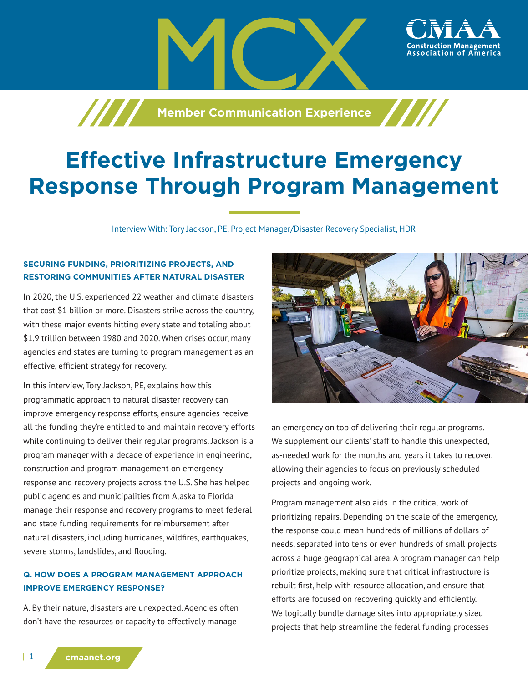**Member Communication Experience** 

# **Effective Infrastructure Emergency Response Through Program Management**

Interview With: Tory Jackson, PE, Project Manager/Disaster Recovery Specialist, HDR

# **SECURING FUNDING, PRIORITIZING PROJECTS, AND RESTORING COMMUNITIES AFTER NATURAL DISASTER**

In 2020, the U.S. experienced 22 weather and climate disasters that cost \$1 billion or more. Disasters strike across the country, with these major events hitting every state and totaling about \$1.9 trillion between 1980 and 2020. When crises occur, many agencies and states are turning to program management as an effective, efficient strategy for recovery.

In this interview, Tory Jackson, PE, explains how this programmatic approach to natural disaster recovery can improve emergency response efforts, ensure agencies receive all the funding they're entitled to and maintain recovery efforts while continuing to deliver their regular programs. Jackson is a program manager with a decade of experience in engineering, construction and program management on emergency response and recovery projects across the U.S. She has helped public agencies and municipalities from Alaska to Florida manage their response and recovery programs to meet federal and state funding requirements for reimbursement after natural disasters, including hurricanes, wildfires, earthquakes, severe storms, landslides, and flooding.

# **Q. HOW DOES A PROGRAM MANAGEMENT APPROACH IMPROVE EMERGENCY RESPONSE?**

A. By their nature, disasters are unexpected. Agencies often don't have the resources or capacity to effectively manage



ssociation of America

an emergency on top of delivering their regular programs. We supplement our clients' staff to handle this unexpected, as-needed work for the months and years it takes to recover, allowing their agencies to focus on previously scheduled projects and ongoing work.

Program management also aids in the critical work of prioritizing repairs. Depending on the scale of the emergency, the response could mean hundreds of millions of dollars of needs, separated into tens or even hundreds of small projects across a huge geographical area. A program manager can help prioritize projects, making sure that critical infrastructure is rebuilt first, help with resource allocation, and ensure that efforts are focused on recovering quickly and efficiently. We logically bundle damage sites into appropriately sized projects that help streamline the federal funding processes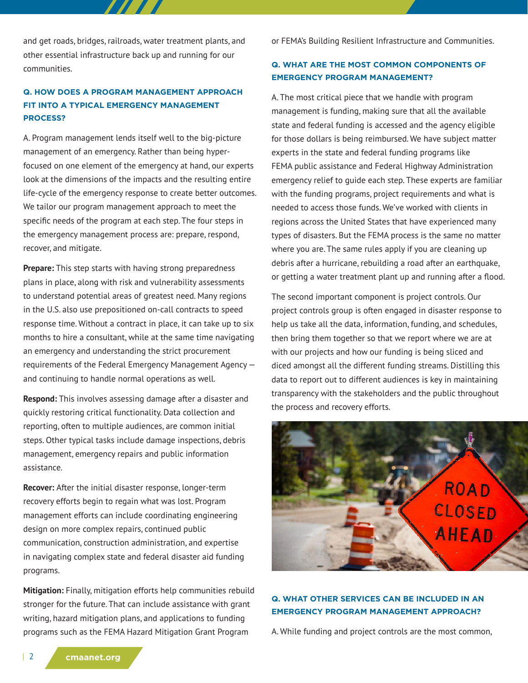and get roads, bridges, railroads, water treatment plants, and other essential infrastructure back up and running for our communities.

# **Q. HOW DOES A PROGRAM MANAGEMENT APPROACH FIT INTO A TYPICAL EMERGENCY MANAGEMENT PROCESS?**

A. Program management lends itself well to the big-picture management of an emergency. Rather than being hyperfocused on one element of the emergency at hand, our experts look at the dimensions of the impacts and the resulting entire life-cycle of the emergency response to create better outcomes. We tailor our program management approach to meet the specific needs of the program at each step. The four steps in the emergency management process are: prepare, respond, recover, and mitigate.

**Prepare:** This step starts with having strong preparedness plans in place, along with risk and vulnerability assessments to understand potential areas of greatest need. Many regions in the U.S. also use prepositioned on-call contracts to speed response time. Without a contract in place, it can take up to six months to hire a consultant, while at the same time navigating an emergency and understanding the strict procurement requirements of the Federal Emergency Management Agency and continuing to handle normal operations as well.

**Respond:** This involves assessing damage after a disaster and quickly restoring critical functionality. Data collection and reporting, often to multiple audiences, are common initial steps. Other typical tasks include damage inspections, debris management, emergency repairs and public information assistance.

**Recover:** After the initial disaster response, longer-term recovery efforts begin to regain what was lost. Program management efforts can include coordinating engineering design on more complex repairs, continued public communication, construction administration, and expertise in navigating complex state and federal disaster aid funding programs.

**Mitigation:** Finally, mitigation efforts help communities rebuild stronger for the future. That can include assistance with grant writing, hazard mitigation plans, and applications to funding programs such as the FEMA Hazard Mitigation Grant Program

or FEMA's Building Resilient Infrastructure and Communities.

## **Q. WHAT ARE THE MOST COMMON COMPONENTS OF EMERGENCY PROGRAM MANAGEMENT?**

A. The most critical piece that we handle with program management is funding, making sure that all the available state and federal funding is accessed and the agency eligible for those dollars is being reimbursed. We have subject matter experts in the state and federal funding programs like FEMA public assistance and Federal Highway Administration emergency relief to guide each step. These experts are familiar with the funding programs, project requirements and what is needed to access those funds. We've worked with clients in regions across the United States that have experienced many types of disasters. But the FEMA process is the same no matter where you are. The same rules apply if you are cleaning up debris after a hurricane, rebuilding a road after an earthquake, or getting a water treatment plant up and running after a flood.

The second important component is project controls. Our project controls group is often engaged in disaster response to help us take all the data, information, funding, and schedules, then bring them together so that we report where we are at with our projects and how our funding is being sliced and diced amongst all the different funding streams. Distilling this data to report out to different audiences is key in maintaining transparency with the stakeholders and the public throughout the process and recovery efforts.



#### **Q. WHAT OTHER SERVICES CAN BE INCLUDED IN AN EMERGENCY PROGRAM MANAGEMENT APPROACH?**

A. While funding and project controls are the most common,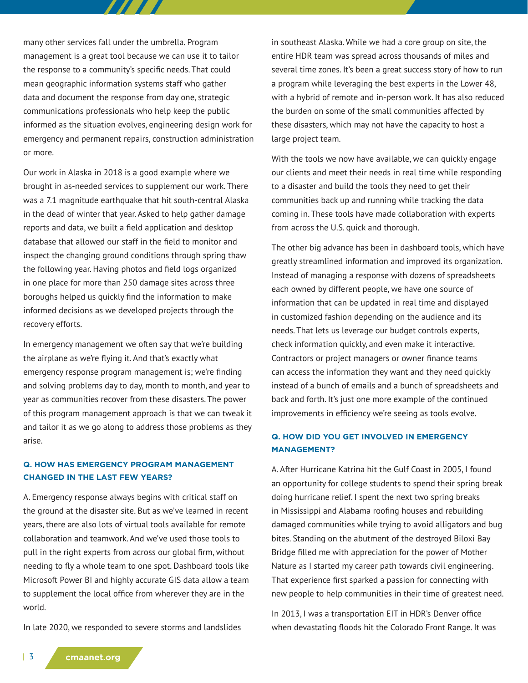many other services fall under the umbrella. Program management is a great tool because we can use it to tailor the response to a community's specific needs. That could mean geographic information systems staff who gather data and document the response from day one, strategic communications professionals who help keep the public informed as the situation evolves, engineering design work for emergency and permanent repairs, construction administration or more.

77 T T

Our work in Alaska in 2018 is a good example where we brought in as-needed services to supplement our work. There was a 7.1 magnitude earthquake that hit south-central Alaska in the dead of winter that year. Asked to help gather damage reports and data, we built a field application and desktop database that allowed our staff in the field to monitor and inspect the changing ground conditions through spring thaw the following year. Having photos and field logs organized in one place for more than 250 damage sites across three boroughs helped us quickly find the information to make informed decisions as we developed projects through the recovery efforts.

In emergency management we often say that we're building the airplane as we're flying it. And that's exactly what emergency response program management is; we're finding and solving problems day to day, month to month, and year to year as communities recover from these disasters. The power of this program management approach is that we can tweak it and tailor it as we go along to address those problems as they arise.

## **Q. HOW HAS EMERGENCY PROGRAM MANAGEMENT CHANGED IN THE LAST FEW YEARS?**

A. Emergency response always begins with critical staff on the ground at the disaster site. But as we've learned in recent years, there are also lots of virtual tools available for remote collaboration and teamwork. And we've used those tools to pull in the right experts from across our global firm, without needing to fly a whole team to one spot. Dashboard tools like Microsoft Power BI and highly accurate GIS data allow a team to supplement the local office from wherever they are in the world.

In late 2020, we responded to severe storms and landslides

in southeast Alaska. While we had a core group on site, the entire HDR team was spread across thousands of miles and several time zones. It's been a great success story of how to run a program while leveraging the best experts in the Lower 48, with a hybrid of remote and in-person work. It has also reduced the burden on some of the small communities affected by these disasters, which may not have the capacity to host a large project team.

With the tools we now have available, we can quickly engage our clients and meet their needs in real time while responding to a disaster and build the tools they need to get their communities back up and running while tracking the data coming in. These tools have made collaboration with experts from across the U.S. quick and thorough.

The other big advance has been in dashboard tools, which have greatly streamlined information and improved its organization. Instead of managing a response with dozens of spreadsheets each owned by different people, we have one source of information that can be updated in real time and displayed in customized fashion depending on the audience and its needs. That lets us leverage our budget controls experts, check information quickly, and even make it interactive. Contractors or project managers or owner finance teams can access the information they want and they need quickly instead of a bunch of emails and a bunch of spreadsheets and back and forth. It's just one more example of the continued improvements in efficiency we're seeing as tools evolve.

## **Q. HOW DID YOU GET INVOLVED IN EMERGENCY MANAGEMENT?**

A. After Hurricane Katrina hit the Gulf Coast in 2005, I found an opportunity for college students to spend their spring break doing hurricane relief. I spent the next two spring breaks in Mississippi and Alabama roofing houses and rebuilding damaged communities while trying to avoid alligators and bug bites. Standing on the abutment of the destroyed Biloxi Bay Bridge filled me with appreciation for the power of Mother Nature as I started my career path towards civil engineering. That experience first sparked a passion for connecting with new people to help communities in their time of greatest need.

In 2013, I was a transportation EIT in HDR's Denver office when devastating floods hit the Colorado Front Range. It was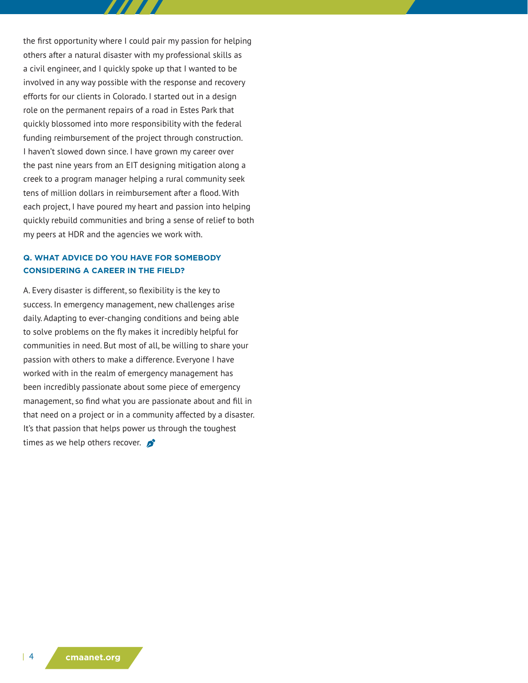the first opportunity where I could pair my passion for helping others after a natural disaster with my professional skills as a civil engineer, and I quickly spoke up that I wanted to be involved in any way possible with the response and recovery efforts for our clients in Colorado. I started out in a design role on the permanent repairs of a road in Estes Park that quickly blossomed into more responsibility with the federal funding reimbursement of the project through construction. I haven't slowed down since. I have grown my career over the past nine years from an EIT designing mitigation along a creek to a program manager helping a rural community seek tens of million dollars in reimbursement after a flood. With each project, I have poured my heart and passion into helping quickly rebuild communities and bring a sense of relief to both my peers at HDR and the agencies we work with.

#### **Q. WHAT ADVICE DO YOU HAVE FOR SOMEBODY CONSIDERING A CAREER IN THE FIELD?**

A. Every disaster is different, so flexibility is the key to success. In emergency management, new challenges arise daily. Adapting to ever-changing conditions and being able to solve problems on the fly makes it incredibly helpful for communities in need. But most of all, be willing to share your passion with others to make a difference. Everyone I have worked with in the realm of emergency management has been incredibly passionate about some piece of emergency management, so find what you are passionate about and fill in that need on a project or in a community affected by a disaster. It's that passion that helps power us through the toughest times as we help others recover.  $\bullet$ 

| 4 **cmaanet.org**